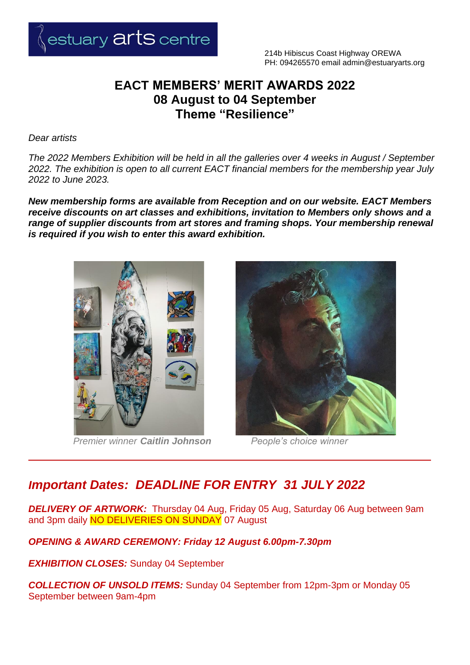

## **EACT MEMBERS' MERIT AWARDS 2022 08 August to 04 September Theme "Resilience"**

*Dear artists*

*The 2022 Members Exhibition will be held in all the galleries over 4 weeks in August / September 2022. The exhibition is open to all current EACT financial members for the membership year July 2022 to June 2023.* 

*New membership forms are available from Reception and on our website. EACT Members receive discounts on art classes and exhibitions, invitation to Members only shows and a range of supplier discounts from art stores and framing shops. Your membership renewal is required if you wish to enter this award exhibition.*



*Premier winner Caitlin Johnson People's choice winner*



# *Important Dates: DEADLINE FOR ENTRY 31 JULY 2022*

*DELIVERY OF ARTWORK:* Thursday 04 Aug, Friday 05 Aug, Saturday 06 Aug between 9am and 3pm daily NO DELIVERIES ON SUNDAY 07 August

### *OPENING & AWARD CEREMONY: Friday 12 August 6.00pm-7.30pm*

*EXHIBITION CLOSES:* Sunday 04 September

*COLLECTION OF UNSOLD ITEMS:* Sunday 04 September from 12pm-3pm or Monday 05 September between 9am-4pm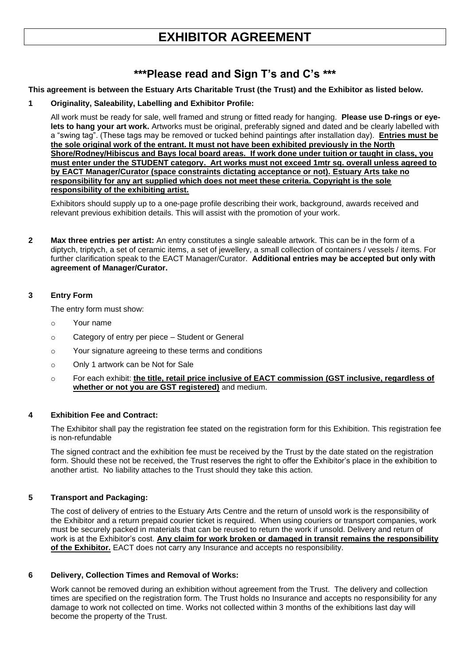# **EXHIBITOR AGREEMENT**

## **\*\*\*Please read and Sign T's and C's \*\*\***

#### **This agreement is between the Estuary Arts Charitable Trust (the Trust) and the Exhibitor as listed below.**

#### **1 Originality, Saleability, Labelling and Exhibitor Profile:**

All work must be ready for sale, well framed and strung or fitted ready for hanging. **Please use D-rings or eyelets to hang your art work.** Artworks must be original, preferably signed and dated and be clearly labelled with a "swing tag". (These tags may be removed or tucked behind paintings after installation day). **Entries must be the sole original work of the entrant. It must not have been exhibited previously in the North Shore/Rodney/Hibiscus and Bays local board areas. If work done under tuition or taught in class, you must enter under the STUDENT category. Art works must not exceed 1mtr sq. overall unless agreed to by EACT Manager/Curator (space constraints dictating acceptance or not). Estuary Arts take no responsibility for any art supplied which does not meet these criteria. Copyright is the sole responsibility of the exhibiting artist.**

Exhibitors should supply up to a one-page profile describing their work, background, awards received and relevant previous exhibition details. This will assist with the promotion of your work.

**2 Max three entries per artist:** An entry constitutes a single saleable artwork. This can be in the form of a diptych, triptych, a set of ceramic items, a set of jewellery, a small collection of containers / vessels / items. For further clarification speak to the EACT Manager/Curator. **Additional entries may be accepted but only with agreement of Manager/Curator.**

#### **3 Entry Form**

The entry form must show:

- o Your name
- o Category of entry per piece Student or General
- o Your signature agreeing to these terms and conditions
- o Only 1 artwork can be Not for Sale
- o For each exhibit: **the title, retail price inclusive of EACT commission (GST inclusive, regardless of whether or not you are GST registered)** and medium.

### **4 Exhibition Fee and Contract:**

The Exhibitor shall pay the registration fee stated on the registration form for this Exhibition. This registration fee is non-refundable

The signed contract and the exhibition fee must be received by the Trust by the date stated on the registration form. Should these not be received, the Trust reserves the right to offer the Exhibitor's place in the exhibition to another artist. No liability attaches to the Trust should they take this action.

### **5 Transport and Packaging:**

The cost of delivery of entries to the Estuary Arts Centre and the return of unsold work is the responsibility of the Exhibitor and a return prepaid courier ticket is required. When using couriers or transport companies, work must be securely packed in materials that can be reused to return the work if unsold. Delivery and return of work is at the Exhibitor's cost. **Any claim for work broken or damaged in transit remains the responsibility of the Exhibitor.** EACT does not carry any Insurance and accepts no responsibility.

#### **6 Delivery, Collection Times and Removal of Works:**

Work cannot be removed during an exhibition without agreement from the Trust. The delivery and collection times are specified on the registration form. The Trust holds no Insurance and accepts no responsibility for any damage to work not collected on time. Works not collected within 3 months of the exhibitions last day will become the property of the Trust.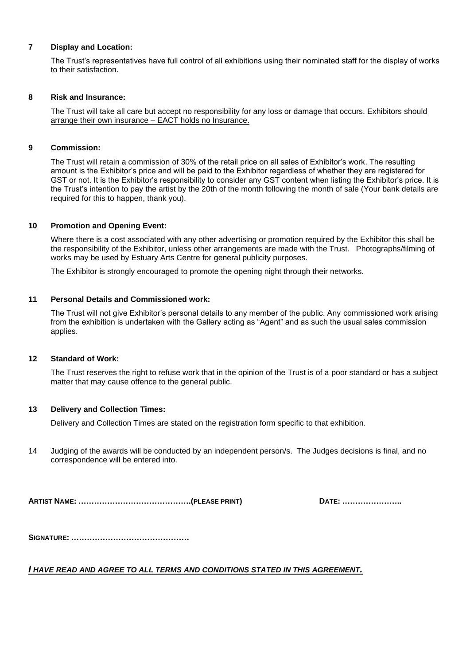#### **7 Display and Location:**

The Trust's representatives have full control of all exhibitions using their nominated staff for the display of works to their satisfaction.

#### **8 Risk and Insurance:**

The Trust will take all care but accept no responsibility for any loss or damage that occurs. Exhibitors should arrange their own insurance – EACT holds no Insurance.

#### **9 Commission:**

The Trust will retain a commission of 30% of the retail price on all sales of Exhibitor's work. The resulting amount is the Exhibitor's price and will be paid to the Exhibitor regardless of whether they are registered for GST or not. It is the Exhibitor's responsibility to consider any GST content when listing the Exhibitor's price. It is the Trust's intention to pay the artist by the 20th of the month following the month of sale (Your bank details are required for this to happen, thank you).

#### **10 Promotion and Opening Event:**

Where there is a cost associated with any other advertising or promotion required by the Exhibitor this shall be the responsibility of the Exhibitor, unless other arrangements are made with the Trust. Photographs/filming of works may be used by Estuary Arts Centre for general publicity purposes.

The Exhibitor is strongly encouraged to promote the opening night through their networks.

#### **11 Personal Details and Commissioned work:**

The Trust will not give Exhibitor's personal details to any member of the public. Any commissioned work arising from the exhibition is undertaken with the Gallery acting as "Agent" and as such the usual sales commission applies.

#### **12 Standard of Work:**

The Trust reserves the right to refuse work that in the opinion of the Trust is of a poor standard or has a subject matter that may cause offence to the general public.

#### **13 Delivery and Collection Times:**

Delivery and Collection Times are stated on the registration form specific to that exhibition.

14 Judging of the awards will be conducted by an independent person/s. The Judges decisions is final, and no correspondence will be entered into.

**ARTIST NAME: …………………………………….(PLEASE PRINT) DATE: …………………..**

**SIGNATURE: ………………………………………**

#### *I HAVE READ AND AGREE TO ALL TERMS AND CONDITIONS STATED IN THIS AGREEMENT.*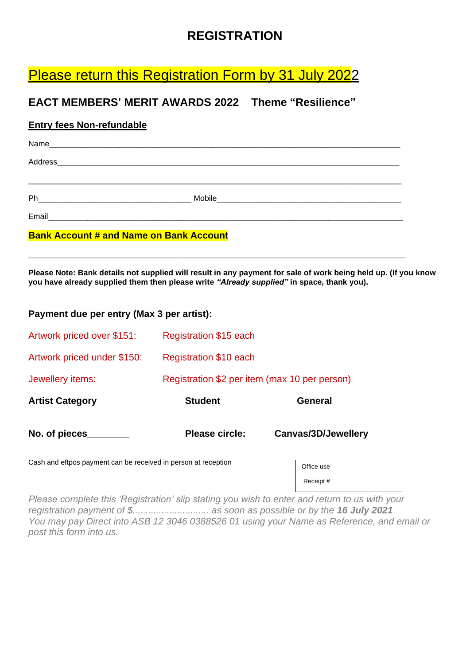# **REGISTRATION**

# Please return this Registration Form by 31 July 2022

## **EACT MEMBERS' MERIT AWARDS 2022 Theme "Resilience"**

### **Entry fees Non-refundable**

| Name                                                                                                                             |        |
|----------------------------------------------------------------------------------------------------------------------------------|--------|
| Address<br><u> 1980 - Johann Stoff, deutscher Stoff, der Stoff, der Stoff, der Stoff, der Stoff, der Stoff, der Stoff, der S</u> |        |
|                                                                                                                                  |        |
| Ph                                                                                                                               | Mobile |
| Email                                                                                                                            |        |

**\_\_\_\_\_\_\_\_\_\_\_\_\_\_\_\_\_\_\_\_\_\_\_\_\_\_\_\_\_\_\_\_\_\_\_\_\_\_\_\_\_\_\_\_\_\_\_\_\_\_\_\_\_\_\_\_\_\_\_\_\_\_\_\_\_\_\_\_\_\_\_\_\_\_\_\_\_\_\_\_\_\_\_\_\_\_**

### **Bank Account # and Name on Bank Account**

**Please Note: Bank details not supplied will result in any payment for sale of work being held up. (If you know you have already supplied them then please write** *"Already supplied"* **in space, thank you).**

### **Payment due per entry (Max 3 per artist):**

| Artwork priced over \$151:  | Registration \$15 each                        |                     |  |  |
|-----------------------------|-----------------------------------------------|---------------------|--|--|
| Artwork priced under \$150: | Registration \$10 each                        |                     |  |  |
| Jewellery items:            | Registration \$2 per item (max 10 per person) |                     |  |  |
| <b>Artist Category</b>      | <b>Student</b>                                | General             |  |  |
| No. of pieces               | Please circle:                                | Canvas/3D/Jewellery |  |  |

Cash and eftpos payment can be received in person at reception

| Office use |  |
|------------|--|
| Receipt #  |  |

*Please complete this 'Registration' slip stating you wish to enter and return to us with your registration payment of \$............................. as soon as possible or by the 16 July 2021 You may pay Direct into ASB 12 3046 0388526 01 using your Name as Reference, and email or post this form into us.*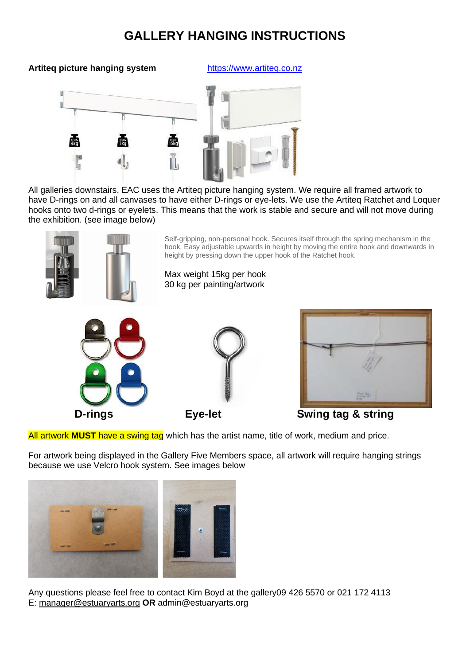# **GALLERY HANGING INSTRUCTIONS**

### **Artiteq picture hanging system** [https://www.artiteq.co.nz](https://www.artiteq.co.nz/)



All galleries downstairs, EAC uses the Artiteq picture hanging system. We require all framed artwork to have D-rings on and all canvases to have either D-rings or eye-lets. We use the Artiteq Ratchet and Loquer hooks onto two d-rings or eyelets. This means that the work is stable and secure and will not move during the exhibition. (see image below)



All artwork **MUST** have a swing tag which has the artist name, title of work, medium and price.

For artwork being displayed in the Gallery Five Members space, all artwork will require hanging strings because we use Velcro hook system. See images below



Any questions please feel free to contact Kim Boyd at the gallery09 426 5570 or 021 172 4113 E: [manager@estuaryarts.org](mailto:manager@estuaryarts.org) **OR** admin@estuaryarts.org